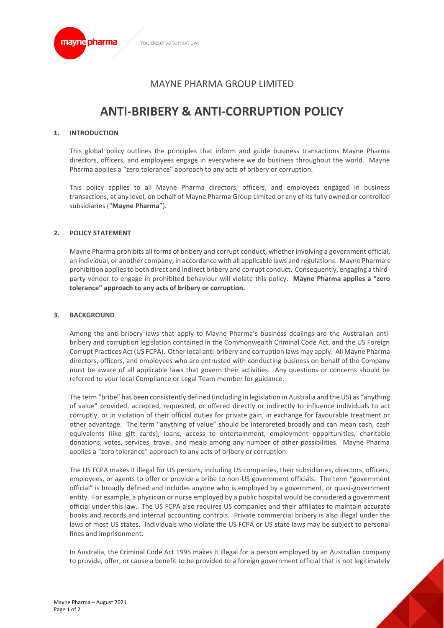

# MAYNE PHARMA GROUP LIMITED

# **ANTI-BRIBERY & ANTI-CORRUPTION POLICY**

#### **1. INTRODUCTION**

This global policy outlines the principles that inform and guide business transactions Mayne Pharma directors, officers, and employees engage in everywhere we do business throughout the world. Mayne Pharma applies a "zero tolerance" approach to any acts of bribery or corruption.

This policy applies to all Mayne Pharma directors, officers, and employees engaged in business transactions, at any level, on behalf of Mayne Pharma Group Limited or any of its fully owned or controlled subsidiaries ("**Mayne Pharma**").

#### **2. POLICY STATEMENT**

Mayne Pharma prohibits all forms of bribery and corrupt conduct, whether involving a government official, an individual, or another company, in accordance with all applicable laws and regulations. Mayne Pharma's prohibition applies to both direct and indirect bribery and corrupt conduct. Consequently, engaging a thirdparty vendor to engage in prohibited behaviour will violate this policy. **Mayne Pharma applies a "zero tolerance" approach to any acts of bribery or corruption.**

#### **3. BACKGROUND**

Among the anti-bribery laws that apply to Mayne Pharma's business dealings are the Australian antibribery and corruption legislation contained in the Commonwealth Criminal Code Act, and the US Foreign Corrupt Practices Act (US FCPA). Other local anti-bribery and corruption laws may apply. All Mayne Pharma directors, officers, and employees who are entrusted with conducting business on behalf of the Company must be aware of all applicable laws that govern their activities. Any questions or concerns should be referred to your local Compliance or Legal Team member for guidance.

The term "bribe" has been consistently defined (including in legislation in Australia and the US) as "anything of value" provided, accepted, requested, or offered directly or indirectly to influence individuals to act corruptly, or in violation of their official duties for private gain, in exchange for favourable treatment or other advantage. The term "anything of value" should be interpreted broadly and can mean cash, cash equivalents (like gift cards), loans, access to entertainment, employment opportunities, charitable donations, votes, services, travel, and meals among any number of other possibilities. Mayne Pharma applies a "zero tolerance" approach to any acts of bribery or corruption.

The US FCPA makes it illegal for US persons, including US companies, their subsidiaries, directors, officers, employees, or agents to offer or provide a bribe to non-US government officials. The term "government official" is broadly defined and includes anyone who is employed by a government, or quasi-government entity. For example, a physician or nurse employed by a public hospital would be considered a government official under this law. The US FCPA also requires US companies and their affiliates to maintain accurate books and records and internal accounting controls. Private commercial bribery is also illegal under the laws of most US states. Individuals who violate the US FCPA or US state laws may be subject to personal fines and imprisonment.

In Australia, the Criminal Code Act 1995 makes it illegal for a person employed by an Australian company to provide, offer, or cause a benefit to be provided to a foreign government official that is not legitimately